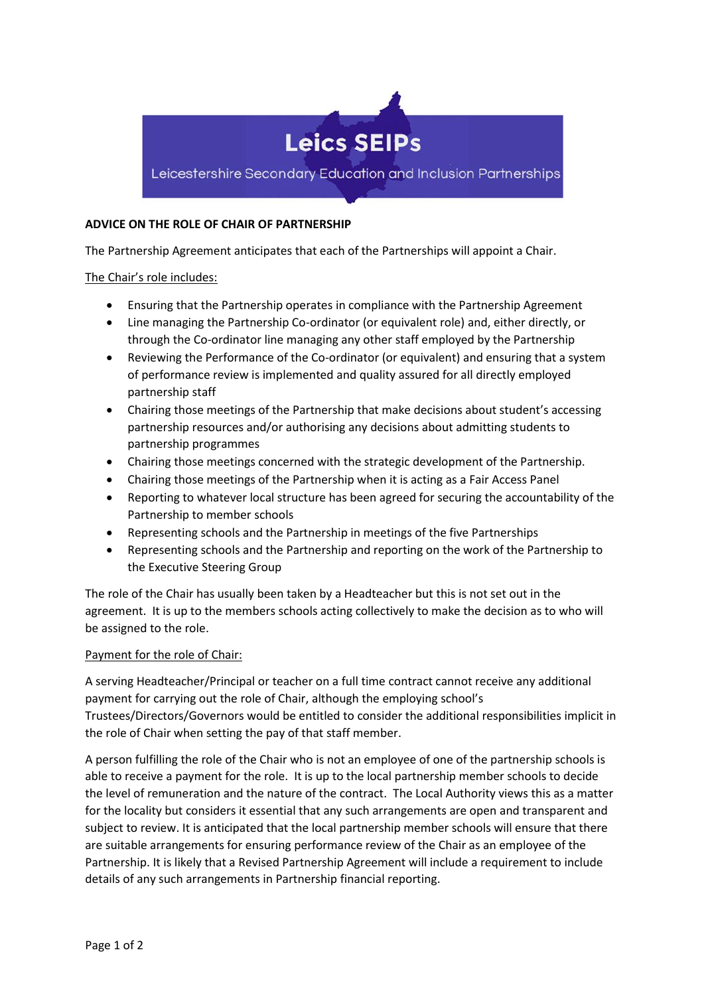

## **ADVICE ON THE ROLE OF CHAIR OF PARTNERSHIP**

The Partnership Agreement anticipates that each of the Partnerships will appoint a Chair.

## The Chair's role includes:

- Ensuring that the Partnership operates in compliance with the Partnership Agreement
- Line managing the Partnership Co-ordinator (or equivalent role) and, either directly, or through the Co-ordinator line managing any other staff employed by the Partnership
- Reviewing the Performance of the Co-ordinator (or equivalent) and ensuring that a system of performance review is implemented and quality assured for all directly employed partnership staff
- Chairing those meetings of the Partnership that make decisions about student's accessing partnership resources and/or authorising any decisions about admitting students to partnership programmes
- Chairing those meetings concerned with the strategic development of the Partnership.
- Chairing those meetings of the Partnership when it is acting as a Fair Access Panel
- Reporting to whatever local structure has been agreed for securing the accountability of the Partnership to member schools
- Representing schools and the Partnership in meetings of the five Partnerships
- Representing schools and the Partnership and reporting on the work of the Partnership to the Executive Steering Group

The role of the Chair has usually been taken by a Headteacher but this is not set out in the agreement. It is up to the members schools acting collectively to make the decision as to who will be assigned to the role.

## Payment for the role of Chair:

A serving Headteacher/Principal or teacher on a full time contract cannot receive any additional payment for carrying out the role of Chair, although the employing school's Trustees/Directors/Governors would be entitled to consider the additional responsibilities implicit in the role of Chair when setting the pay of that staff member.

A person fulfilling the role of the Chair who is not an employee of one of the partnership schools is able to receive a payment for the role. It is up to the local partnership member schools to decide the level of remuneration and the nature of the contract. The Local Authority views this as a matter for the locality but considers it essential that any such arrangements are open and transparent and subject to review. It is anticipated that the local partnership member schools will ensure that there are suitable arrangements for ensuring performance review of the Chair as an employee of the Partnership. It is likely that a Revised Partnership Agreement will include a requirement to include details of any such arrangements in Partnership financial reporting.